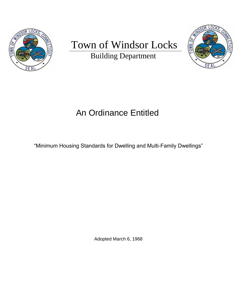

# Town of Windsor Locks

Building Department



# An Ordinance Entitled

"Minimum Housing Standards for Dwelling and Multi-Family Dwellings"

Adopted March 6, 1968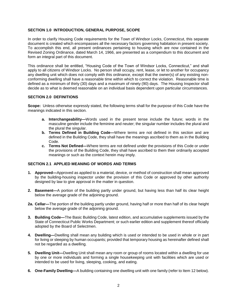# **SECTION 1.0 INTRODUCTION, GENERAL PURPOSE, SCOPE**

In order to clarify Housing Code requirements for the Town of Windsor Locks, Connecticut, this separate document is created which encompasses all the necessary factors governing habitation in present society. To accomplish this end, all present ordinances pertaining to housing which are now contained in the Revised Zoning Ordinance, dated March 14, 1966, are presented as a compendium to this document and form an integral part of this document.

This ordinance shall be entitled, "Housing Code of the Town of Windsor Locks, Connecticut," and shall apply to all citizens of Windsor Locks. No person shall occupy, rent, lease, or let to another for occupancy any dwelling unit which does not comply with this ordinance, except that the owner(s) of any existing nonconforming dwelling shall have a reasonable time within which to correct the violation. Reasonable time is defined as a minimum of thirty (30) days and a maximum of ninety (90) days. The Housing Inspector shall decide as to what is deemed reasonable on an individual basis dependent upon particular circumstances.

### **SECTION 2.0 DEFINITIONS**

**Scope:** Unless otherwise expressly stated, the following terms shall for the purpose of this Code have the meanings indicated in this section.

- **a. Interchangeability—**Words used in the present tense include the future; words in the masculine gender include the feminine and neuter; the singular number includes the plural and the plural the singular.
- **b. Terms Defined in Building Code—**Where terms are not defined in this section and are defined in the Building Code, they shall have the meanings ascribed to them as in the Building Code.
- **c. Terms Not Defined—**Where terms are not defined under the provisions of this Code or under the provisions of the Building Code, they shall have ascribed to them their ordinarily accepted meanings or such as the context herein may imply.

#### **SECTION 2.1 APPLIED MEANING OF WORDS AND TERMS**

- **1. Approved—**Approved as applied to a material, device, or method of construction shall mean approved by the building-housing inspector under the provision of this Code or approved by other authority designed by law to give approval in the matter in question.
- **2. Basement—**A portion of the building partly under ground, but having less than half its clear height below the average grade of the adjoining ground.
- **2a. Cellar—**The portion of the building partly under ground, having half or more than half of its clear height below the average grade of the adjoining ground.
- **3. Building Code—**The Basic Building Code, latest edition, and accumulative supplements issued by the State of Connecticut Public Works Department; or such earlier edition and supplement thereof officially adopted by the Board of Selectmen.
- **4. Dwelling—**Dwelling shall mean any building which is used or intended to be used in whole or in part for living or sleeping by human occupants; provided that temporary housing as hereinafter defined shall not be regarded as a dwelling.
- **5. Dwelling Unit—**Dwelling Unit shall mean any room or group of rooms located within a dwelling for use by one or more individuals and forming a single housekeeping unit with facilities which are used or intended to be used for living, sleeping, cooking, and eating.
- **6. One-Family Dwelling—**A building containing one dwelling unit with one family (refer to Item 12 below).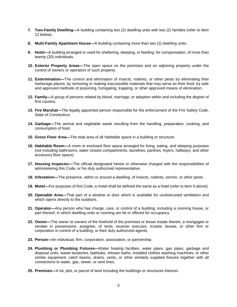- **7. Two-Family Dwelling—**A building containing two (2) dwelling units with two (2) families (refer to Item 12 below).
- **8. Multi-Family Apartment House—**A building containing more than two (2) dwelling units.
- **9. Hotel—**A building arranged or used for sheltering, sleeping, or feeding, for compensation, of more than twenty (20) individuals.
- **10. Exterior Property Areas—**The open space on the premises and on adjoining property under the control of owners or operators of such property.
- **11. Extermination—**The control and elimination of insects, rodents, or other pests by eliminating their harborage places; by removing or making inaccessible materials that may serve as their food; by safe and approved methods of poisoning, fumigating, trapping, or other approved means of elimination.
- **12. Family—**A group of persons related by blood, marriage, or adoption within and including the degree of first cousins.
- **13. Fire Marshal—**The legally appointed person responsible for the enforcement of the Fire Safety Code, State of Connecticut.
- **14. Garbage—**The animal and vegetable waste resulting from the handling, preparation, cooking, and consumption of food.
- **15. Gross Floor Area—**The total area of all habitable space in a building or structure.
- **16. Habitable Room—**A room or enclosed floor space arranged for living, eating, and sleeping purposes (not including bathrooms, water closets compartments, laundries, pantries, foyers, hallways, and other accessory floor space).
- **17. Housing Inspector—**The official designated herein or otherwise charged with the responsibilities of administering this Code, or his duly authorized representative.
- **18. Infestation—**The presence, within or around a dwelling, of insects, rodents, vermin, or other pests.
- **19. Motel—**For purposes of this Code, a motel shall be defined the same as a hotel (refer to Item 9 above).
- **20. Openable Area—**That part of a window or door which is available for unobstructed ventilation and which opens directly to the outdoors.
- **21. Operator—**Any person who has charge, care, or control of a building, including a rooming house, or part thereof, in which dwelling units or rooming are let or offered for occupancy.
- **22. Owner—**The owner or owners of the freehold of the premises or lesser estate therein, a mortgagee or vendee in possessions, assignee, of rents, receiver executor, trustee, lessee, or other firm or corporation in control of a building; or their duly authorized agents.
- **23. Person—**An individual, firm, corporation, association, or partnership.
- **24. Plumbing or Plumbing Fixtures—**Water heating facilities, water pipes, gas pipes, garbage and disposal units, waste lavatories, bathtubs, shower baths, installed clothes washing machines, or other similar equipment, catch basins, drains, vents, or other similarly supplied fixtures together with all connections to water, gas, sewer, or vent lines.
- **25. Premises—**A lot, plot, or parcel of land including the buildings or structures thereon.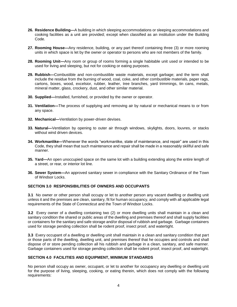- **26. Residence Building—**A building in which sleeping accommodations or sleeping accommodations and cooking facilities as a unit are provided; except when classified as an institution under the Building Code.
- **27. Rooming House—**Any residence, building, or any part thereof containing three (3) or more rooming units in which space is let by the owner or operator to persons who are not members of the family.
- **28. Rooming Unit—**Any room or group of rooms forming a single habitable unit used or intended to be used for living and sleeping, but not for cooking or eating purposes.
- **29. Rubbish—**Combustible and non-combustible waste materials, except garbage; and the term shall include the residue from the burning of wood, coal, coke, and other combustible materials, paper rags, cartons, boxes, wood, excelsior, rubber, leather, tree branches, yard trimmings, tin cans, metals, mineral matter, glass, crockery, dust, and other similar material.
- **30. Supplied—**Installed, furnished, or provided by the owner or operator.
- **31. Ventilation—**The process of supplying and removing air by natural or mechanical means to or from any space.
- **32. Mechanical—**Ventilation by power-driven devises.
- **33. Natural—**Ventilation by opening to outer air through windows, skylights, doors, louvres, or stacks without wind driven devices.
- **34. Workmanlike—**Whenever the words "workmanlike, state of maintenance, and repair" are used in this Code, they shall mean that such maintenance and repair shall be made in a reasonably skillful and safe manner.
- **35. Yard—**An open unoccupied space on the same lot with a building extending along the entire length of a street, or rear, or interior lot line.
- **36. Sewer System—**An approved sanitary sewer in compliance with the Sanitary Ordinance of the Town of Windsor Locks.

# **SECTION 3.0 RESPONSIBILITIES OF OWNERS AND OCCUPANTS**

**3.1** No owner or other person shall occupy or let to another person any vacant dwelling or dwelling unit unless it and the premises are clean, sanitary, fit for human occupancy, and comply with all applicable legal requirements of the State of Connecticut and the Town of Windsor Locks.

**3.2** Every owner of a dwelling containing two (2) or more dwelling units shall maintain in a clean and sanitary condition the shared or public areas of the dwelling and premises thereof and shall supply facilities or containers for the sanitary and safe storage and/or disposal of rubbish and garbage. Garbage containers used for storage pending collection shall be rodent proof, insect proof, and watertight.

**3.3** Every occupant of a dwelling or dwelling unit shall maintain in a clean and sanitary condition that part or those parts of the dwelling, dwelling unit, and premises thereof that he occupies and controls and shall dispose of or store pending collection all his rubbish and garbage in a clean, sanitary, and safe manner. Garbage containers used for storage pending collection shall be rodent proof, insect proof, and watertight.

#### **SECTION 4.0 FACILITIES AND EQUIPMENT, MINIMUM STANDARDS**

No person shall occupy as owner, occupant, or let to another for occupancy any dwelling or dwelling unit for the purpose of living, sleeping, cooking, or eating therein, which does not comply with the following requirements: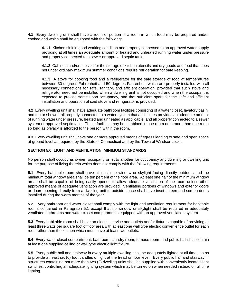**4.1** Every dwelling unit shall have a room or portion of a room in which food may be prepared and/or cooked and which shall be equipped with the following:

**4.1.1** Kitchen sink in good working condition and properly connected to an approved water supply providing at all times an adequate amount of heated and unheated running water under pressure and properly connected to a sewer or approved septic tank.

**4.1.2** Cabinets and/or shelves for the storage of kitchen utensils and dry goods and food that does not under ordinary maximum summer conditions require refrigeration for safe keeping.

**4.1.3** A stove for cooking food and a refrigerator for the safe storage of food at temperatures between 30 degrees Fahrenheit and 50 degrees Fahrenheit, which are properly installed with all necessary connections for safe, sanitary, and efficient operation, provided that such stove and refrigerator need not be installed when a dwelling unit is not occupied and when the occupant is expected to provide same upon occupancy, and that sufficient spare for the safe and efficient installation and operation of said stove and refrigerator is provided.

**4.2** Every dwelling unit shall have adequate bathroom facilities consisting of a water closet, lavatory basin, and tub or shower, all properly connected to a water system that at all times provides an adequate amount of running water under pressure, heated and unheated as applicable, and all properly connected to a sewer system or approved septic tank. These facilities may be combined in one room or in more than one room so long as privacy is afforded to the person within the room.

**4.3** Every dwelling unit shall have one or more approved means of egress leading to safe and open space at ground level as required by the State of Connecticut and by the Town of Windsor Locks.

#### **SECTION 5.0 LIGHT AND VENTILATION, MINIMUM STANDARDS**

No person shall occupy as owner, occupant, or let to another for occupancy any dwelling or dwelling unit for the purpose of living therein which does not comply with the following requirements:

**5.1** Every habitable room shall have at least one window or skylight facing directly outdoors and the minimum total window area shall be ten percent of the floor area. At least one half of the minimum window areas shall be capable of being easily opened to allow adequate ventilation of the room unless other approved means of adequate ventilation are provided. Ventilating portions of windows and exterior doors or doors opening directly from a dwelling unit to outside space shall have inset screen and screen doors installed during the warm months of the year.

**5.2** Every bathroom and water closet shall comply with the light and ventilation requirement for habitable rooms contained in Paragraph 5.1 except that no window or skylight shall be required in adequately ventilated bathrooms and water closet compartments equipped with an approved ventilation system.

**5.3** Every habitable room shall have an electric service and outlets and/or fixtures capable of providing at least three watts per square foot of floor area with at least one wall type electric convenience outlet for each room other than the kitchen which must have at least two outlets.

**5.4** Every water closet compartment, bathroom, laundry room, furnace room, and public hall shall contain at least one supplied ceiling or wall type electric light fixture.

**5.5** Every public hall and stairway in every multiple dwelling shall be adequately lighted at all times so as to provide at least six (6) foot candles of light at the tread or floor level. Every public hall and stairway in structures containing not more than two (2) dwelling units shall be supplied with conveniently located light switches, controlling an adequate lighting system which may be turned on when needed instead of full time lighting.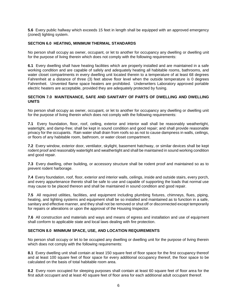**5.6** Every public hallway which exceeds 15 feet in length shall be equipped with an approved emergency (zoned) lighting system.

# **SECTION 6.0 HEATING, MINIMUM THERMAL STANDARDS**

No person shall occupy as owner, occupant, or let to another for occupancy any dwelling or dwelling unit for the purpose of living therein which does not comply with the following requirements:

**6.1** Every dwelling shall have heating facilities which are properly installed and are maintained in a safe working condition and are capable of safely and adequately heating all habitable rooms, bathrooms, and water closet compartments in every dwelling unit located therein to a temperature of at least 68 degrees Fahrenheit at a distance of three (3) feet above floor level when the outside temperature is 0 degrees Fahrenheit. Unvented flame space heaters are prohibited. Underwriters Laboratory approved portable electric heaters are acceptable, provided they are adequately protected by fusing.

# **SECTION 7.0 MAINTENANCE, SAFE AND SANITARY OF PARTS OF DWELLING AND DWELLING UNITS**

No person shall occupy as owner, occupant, or let to another for occupancy any dwelling or dwelling unit for the purpose of living therein which does not comply with the following requirements:

**7.1** Every foundation, floor, roof, ceiling, exterior and interior wall shall be reasonably weathertight, watertight, and damp-free; shall be kept in sound condition and good repair; and shall provide reasonable privacy for the occupants. Rain water shall drain from roofs so as not to cause dampness in walls, ceilings, or floors of any habitable room, bathroom, or water closet compartment.

**7.2** Every window, exterior door, ventilator, skylight, basement hatchway, or similar devices shall be kept rodent proof and reasonably watertight and weathertight and shall be maintained in sound working condition and good repair.

**7.3** Every dwelling, other building, or accessory structure shall be rodent proof and maintained so as to prevent rodent harborage.

**7.4** Every foundation, roof, floor, exterior and interior walls, ceilings, inside and outside stairs, every porch, and every appurtenance thereto shall be safe to use and capable of supporting the loads that normal use may cause to be placed thereon and shall be maintained in sound condition and good repair.

**7.5** All required utilities, facilities, and equipment including plumbing fixtures, chimneys, flues, piping, heating, and lighting systems and equipment shall be so installed and maintained as to function in a safe, sanitary and effective manner, and they shall not be removed or shut off or disconnected except temporarily for repairs or alterations or upon the approval of the Housing Inspector.

**7.6** All construction and materials and ways and means of egress and installation and use of equipment shall conform to applicable state and local laws dealing with fire protection.

# **SECTION 8.0 MINIMUM SPACE, USE, AND LOCATION REQUIREMENTS**

No person shall occupy or let to be occupied any dwelling or dwelling unit for the purpose of living therein which does not comply with the following requirements:

**8.1** Every dwelling unit shall contain at least 150 square feet of floor space for the first occupancy thereof and at least 100 square feet of floor space for every additional occupancy thereof, the floor space to be calculated on the basis of total habitable room area.

**8.2** Every room occupied for sleeping purposes shall contain at least 60 square feet of floor area for the first adult occupant and at least 40 square feet of floor area for each additional adult occupant thereof.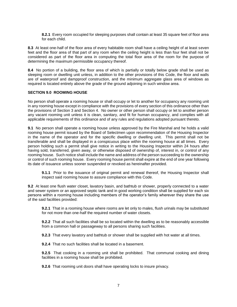**8.2.1** Every room occupied for sleeping purposes shall contain at least 35 square feet of floor area for each child.

**8.3** At least one-half of the floor area of every habitable room shall have a ceiling height of at least seven feet and the floor area of that part of any room when the ceiling height is less than four feet shall not be considered as part of the floor area in computing the total floor area of the room for the purpose of determining the maximum permissible occupancy thereof.

**8.4** No portion of a building, the floor area of which is partially or totally below grade shall be used as sleeping room or dwelling unit unless, in addition to the other provisions of this Code, the floor and walls are of waterproof and dampproof construction, and the minimum aggregate glass area of windows as required is located entirely above the grade of the ground adjoining in such window area.

# **SECTION 9.0 ROOMING HOUSE**

No person shall operate a rooming house or shall occupy or let to another for occupancy any rooming unit in any rooming house except in compliance with the provisions of every section of this ordinance other than the provisions of Section 3 and Section 4. No owner or other person shall occupy or let to another person any vacant rooming unit unless it is clean, sanitary, and fit for human occupancy, and complies with all applicable requirements of this ordinance and of any rules and regulations adopted pursuant thereto.

**9.1** No person shall operate a rooming house unless approved by the Fire Marshal and he holds a valid rooming house permit issued by the Board of Selectmen upon recommendation of the Housing Inspector in the name of the operator and for the specific dwelling or dwelling unit. This permit shall not be transferable and shall be displayed in a conspicuous place within the rooming house at all times. Every person holding such a permit shall give notice in writing to the Housing Inspector within 24 hours after having sold, transferred, given away, or otherwise disposed of ownership of, interest in, or control of any rooming house. Such notice shall include the name and address of the person succeeding to the ownership or control of such rooming house. Every rooming house permit shall expire at the end of one year following its date of issuance unless sooner suspended or revoked as hereinafter provided.

**9.1.1** Prior to the issuance of original permit and renewal thereof, the Housing Inspector shall inspect said rooming house to assure compliance with this Code.

**9.2** At least one flush water closet, lavatory basin, and bathtub or shower, properly connected to a water and sewer system or an approved septic tank and in good working condition shall be supplied for each six persons within a rooming house including members of the operator's family wherever they share the use of the said facilities provided:

**9.2.1** That in a rooming house where rooms are let only to males, flush urinals may be substituted for not more than one-half the required number of water closets.

**9.2.2** That all such facilities shall be so located within the dwelling as to be reasonably accessible from a common hall or passageway to all persons sharing such facilities.

**9.2.3** That every lavatory and bathtub or shower shall be supplied with hot water at all times.

**9.2.4** That no such facilities shall be located in a basement.

**9.2.5** That cooking in a rooming unit shall be prohibited. That communal cooking and dining facilities in a rooming house shall be prohibited.

**9.2.6** That rooming unit doors shall have operating locks to insure privacy.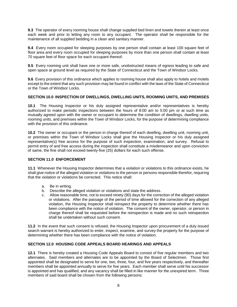**9.3** The operator of every rooming house shall change supplied bed linen and towels therein at least once each week and prior to letting any room to any occupant. The operator shall be responsible for the maintenance of all supplied bedding in a clean and sanitary manner.

**9.4** Every room occupied for sleeping purposes by one person shall contain at least 100 square feet of floor area and every room occupied for sleeping purposes by more than one person shall contain at least 70 square feet of floor space for each occupant thereof.

**9.5** Every rooming unit shall have one or more safe, unobstructed means of egress leading to safe and open space at ground level as required by the State of Connecticut and the Town of Windsor Locks.

**9.6** Every provision of this ordinance which applies to rooming house shall also apply to hotels and motels except to the extent that any such provision may be found in conflict with the laws of the State of Connecticut or the Town of Windsor Locks.

# **SECTION 10.0 INSPECTION OF DWELLINGS, DWELLING UNITS, ROOMING UNITS, AND PREMISES**

**10.1** The Housing Inspector or his duly assigned representative and/or representatives is hereby authorized to make periodic inspections between the hours of 8:00 am to 5:00 pm or at such time as mutually agreed upon with the owner or occupant to determine the condition of dwellings, dwelling units, rooming units, and premises within the Town of Windsor Locks, for the purpose of determining compliance with the provision of this ordinance.

**10.2** The owner or occupant or the person in charge thereof of each dwelling, dwelling unit, rooming unit, or premises within the Town of Windsor Locks shall give the Housing Inspector or his duly assigned representative(s) free access for the purpose of such inspection, examination, and survey. Refusal to permit entry of and free access during the inspection shall constitute a misdemeanor and upon conviction of same, the fine shall not exceed twenty-five (25) dollars for each such offense.

#### **SECTION 11.0 ENFORCEMENT**

**11.1** Whenever the Housing Inspector determines that a violation or violations to this ordinance exists, he shall give notice of the alleged violation or violations to the person or persons responsible therefor, requiring that the violation or violations be corrected. This notice shall:

- a. Be in writing.
- b. Describe the alleged violation or violations and state the address.
- c. Allow reasonable time, not to exceed ninety (90) days for the correction of the alleged violation or violations. After the passage of the period of time allowed for the correction of any alleged violation, the Housing Inspector shall reinspect the property to determine whether there has been compliance with the notice of violation. The consent of the owner, operator, or person in charge thereof shall be requested before the reinspection is made and no such reinspection shall be undertaken without such consent.

**11.2** In the event that such consent is refused, the Housing Inspector upon procurement of a duly issued search warrant is hereby authorized to enter, inspect, examine, and survey the property for the purpose of determining whether there has been compliance with the notice of violation.

# **SECTION 12.0 HOUSING CODE APPEALS BOARD HEARINGS AND APPEALS**

**12.1** There is hereby created a Housing Code Appeals Board to consist of five regular members and two alternates. Said members and alternates are to be appointed by the Board of Selectmen. Those first appointed shall be designated to serve for one, two, three, four, and five years respectively, and thereafter members shall be appointed annually to serve for five years. Each member shall serve until his successor is appointed and has qualified, and any vacancy shall be filled in like manner for the unexpired term. Three members of said board shall be chosen from the following persons: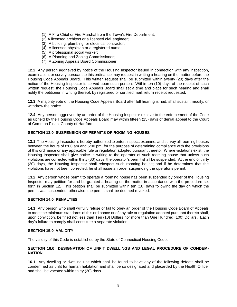- (1) A Fire Chief or Fire Marshal from the Town's Fire Department;
- (2) A licensed architect or a licensed civil engineer;
- (3) A building, plumbing, or electrical contractor;
- (4) A licensed physician or a registered nurse;
- (5) A professional social worker;
- (6) A Planning and Zoning Commissioner;
- (7) A Zoning Appeals Board Commissioner.

**12.2** Any person aggrieved by notice of the Housing Inspector issued in connection with any inspection, examination, or survey pursuant to this ordinance may request in writing a hearing on the matter before the Housing Code Appeals Board. This written request shall be submitted within twenty (20) days after the notice of the Housing Inspector is served upon such person. Within ten (10) days of the receipt of such written request, the Housing Code Appeals Board shall set a time and place for such hearing and shall notify the petitioner in writing thereof, by registered or certified mail, return receipt requested.

**12.3** A majority vote of the Housing Code Appeals Board after full hearing is had, shall sustain, modify, or withdraw the notice.

**12.4** Any person aggrieved by an order of the Housing Inspector relative to the enforcement of the Code as upheld by the Housing Code Appeals Board may within fifteen (15) days of denial appeal to the Court of Common Pleas, County of Hartford.

# **SECTION 13.0 SUSPENSION OF PERMITS OF ROOMING HOUSES**

**13.1** The Housing Inspector is hereby authorized to enter, inspect, examine, and survey all rooming houses between the hours of 8:00 am and 5:00 pm, for the purpose of determining compliance with the provisions of this ordinance or any applicable rule or regulation adopted pursuant thereto. Where violations exist, the Housing Inspector shall give notice in writing to the operator of such rooming house that unless such violations are corrected within thirty (30) days, the operator's permit shall be suspended. At the end of thirty (30) days, the Housing Inspector shall reinspect such rooming house; and if he determines that the violations have not been corrected, he shall issue an order suspending the operator's permit.

**13.2** Any person whose permit to operate a rooming house has been suspended by order of the Housing Inspector may petition for and be granted a hearing on the matter in accordance with the procedure set forth in Section 12. This petition shall be submitted within ten (10) days following the day on which the permit was suspended; otherwise, the permit shall be deemed revoked.

#### **SECTION 14.0 PENALTIES**

**14.1** Any person who shall willfully refuse or fail to obey an order of the Housing Code Board of Appeals to meet the minimum standards of this ordinance or of any rule or regulation adopted pursuant thereto shall, upon conviction, be fined not less than Ten (10) Dollars nor more than One Hundred (100) Dollars. Each day's failure to comply shall constitute a separate violation.

#### **SECTION 15.0 VALIDITY**

The validity of this Code is established by the State of Connecticut Housing Code.

#### **SECTION 16.0 DESIGNATION OF UNFIT DWELLINGS AND LEGAL PROCEDURE OF CONDEM-NATION**

**16.1** Any dwelling or dwelling unit which shall be found to have any of the following defects shall be condemned as unfit for human habitation and shall be so designated and placarded by the Health Officer and shall be vacated within thirty (30) days.